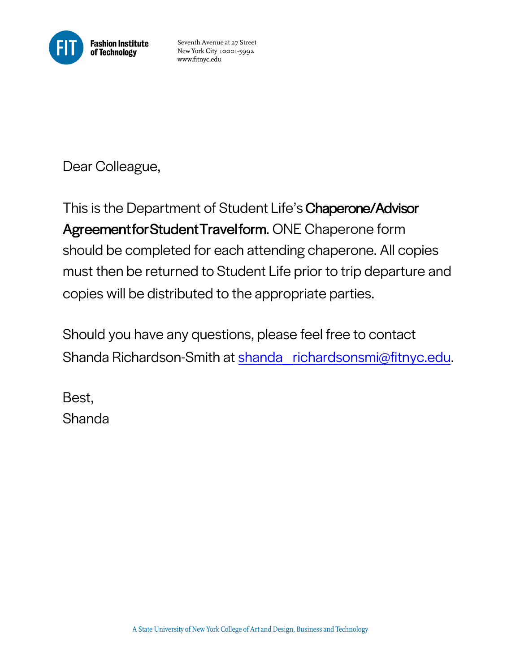

Seventh Avenue at 27 Street New York City 10001-5992 www.fitnyc.edu

Dear Colleague,

This is the Department of Student Life's Chaperone/Advisor Agreement for Student Travel form. ONE Chaperone form should be completed for each attending chaperone. All copies must then be returned to Student Life prior to trip departure and copies will be distributed to the appropriate parties.

Should you have any questions, please feel free to contact Shanda Richardson-Smith at shanda\_richardsonsmi@fitnyc.edu.

Best, Shanda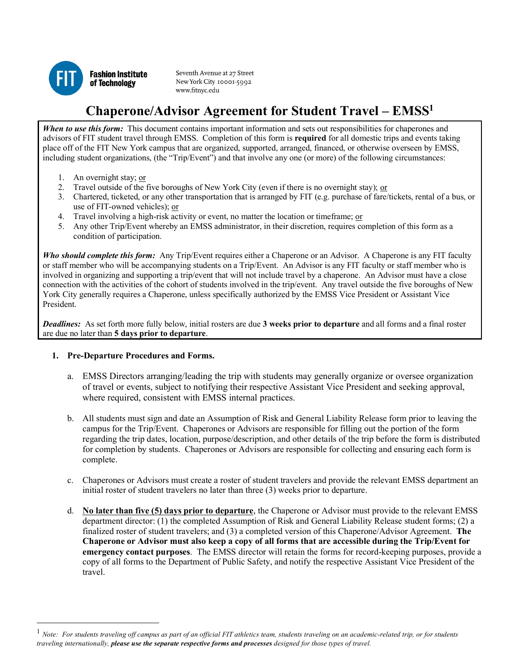

Seventh Avenue at 27 Street New York City 10001-5992 www.fitnyc.edu

## **Chaperone/Advisor Agreement for Student Travel – EMSS1**

**When to use this form:** This document contains important information and sets out responsibilities for chaperones and advisors of FIT student travel through EMSS. Completion of this form is **required** for all domestic trips and events taking place off of the FIT New York campus that are organized, supported, arranged, financed, or otherwise overseen by EMSS, including student organizations, (the "Trip/Event") and that involve any one (or more) of the following circumstances:

- 1. An overnight stay; or
- 2. Travel outside of the five boroughs of New York City (even if there is no overnight stay); or
- 3. Chartered, ticketed, or any other transportation that is arranged by FIT (e.g. purchase of fare/tickets, rental of a bus, or use of FIT-owned vehicles); or
- 4. Travel involving a high-risk activity or event, no matter the location or timeframe; or
- 5. Any other Trip/Event whereby an EMSS administrator, in their discretion, requires completion of this form as a condition of participation.

*Who should complete this form:* Any Trip/Event requires either a Chaperone or an Advisor. A Chaperone is any FIT faculty or staff member who will be accompanying students on a Trip/Event. An Advisor is any FIT faculty or staff member who is involved in organizing and supporting a trip/event that will not include travel by a chaperone. An Advisor must have a close connection with the activities of the cohort of students involved in the trip/event. Any travel outside the five boroughs of New York City generally requires a Chaperone, unless specifically authorized by the EMSS Vice President or Assistant Vice President.

 *Deadlines:* As set forth more fully below, initial rosters are due **3 weeks prior to departure** and all forms and a final roster are due no later than **5 days prior to departure**.

## **1. Pre-Departure Procedures and Forms.**

 $\overline{a}$ 

- a. EMSS Directors arranging/leading the trip with students may generally organize or oversee organization of travel or events, subject to notifying their respective Assistant Vice President and seeking approval, where required, consistent with EMSS internal practices.
- campus for the Trip/Event. Chaperones or Advisors are responsible for filling out the portion of the form for completion by students. Chaperones or Advisors are responsible for collecting and ensuring each form is b. All students must sign and date an Assumption of Risk and General Liability Release form prior to leaving the regarding the trip dates, location, purpose/description, and other details of the trip before the form is distributed complete.
- c. Chaperones or Advisors must create a roster of student travelers and provide the relevant EMSS department an initial roster of student travelers no later than three (3) weeks prior to departure.
- d. **No later than five (5) days prior to departure**, the Chaperone or Advisor must provide to the relevant EMSS finalized roster of student travelers; and (3) a completed version of this Chaperone/Advisor Agreement. **The Chaperone or Advisor must also keep a copy of all forms that are accessible during the Trip/Event for emergency contact purposes**. The EMSS director will retain the forms for record-keeping purposes, provide a copy of all forms to the Department of Public Safety, and notify the respective Assistant Vice President of the department director: (1) the completed Assumption of Risk and General Liability Release student forms; (2) a travel.

<sup>&</sup>lt;sup>1</sup> Note: For students traveling off campus as part of an official FIT athletics team, students traveling on an academic-related trip, or for students  *traveling internationally, please use the separate respective forms and processes designed for those types of travel.*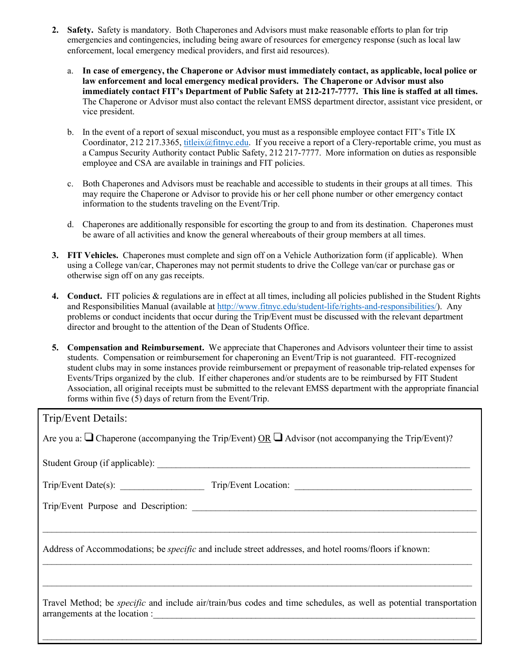- **2. Safety.** Safety is mandatory. Both Chaperones and Advisors must make reasonable efforts to plan for trip emergencies and contingencies, including being aware of resources for emergency response (such as local law enforcement, local emergency medical providers, and first aid resources).
	- a. **In case of emergency, the Chaperone or Advisor must immediately contact, as applicable, local police or law enforcement and local emergency medical providers. The Chaperone or Advisor must also**  The Chaperone or Advisor must also contact the relevant EMSS department director, assistant vice president, or **immediately contact FIT's Department of Public Safety at 212-217-7777. This line is staffed at all times.**  vice president.
	- Coordinator, 212 217.3365, titleix@fitnyc.edu. If you receive a report of a Clery-reportable crime, you must as b. In the event of a report of sexual misconduct, you must as a responsible employee contact FIT's Title IX a Campus Security Authority contact Public Safety, 212 217-7777. More information on duties as responsible employee and CSA are available in trainings and FIT policies.
	- may require the Chaperone or Advisor to provide his or her cell phone number or other emergency contact c. Both Chaperones and Advisors must be reachable and accessible to students in their groups at all times. This information to the students traveling on the Event/Trip.
	- d. Chaperones are additionally responsible for escorting the group to and from its destination. Chaperones must be aware of all activities and know the general whereabouts of their group members at all times.
- **3. FIT Vehicles.** Chaperones must complete and sign off on a Vehicle Authorization form (if applicable). When using a College van/car, Chaperones may not permit students to drive the College van/car or purchase gas or otherwise sign off on any gas receipts.
- **4. Conduct.** FIT policies & regulations are in effect at all times, including all policies published in the Student Rights director and brought to the attention of the Dean of Students Office. and Responsibilities Manual (available at http://www.fitnyc.edu/student-life/rights-and-responsibilities/). Any problems or conduct incidents that occur during the Trip/Event must be discussed with the relevant department
- Events/Trips organized by the club. If either chaperones and/or students are to be reimbursed by FIT Student Association, all original receipts must be submitted to the relevant EMSS department with the appropriate financial forms within five (5) days of return from the Event/Trip. **5. Compensation and Reimbursement.** We appreciate that Chaperones and Advisors volunteer their time to assist students. Compensation or reimbursement for chaperoning an Event/Trip is not guaranteed. FIT-recognized student clubs may in some instances provide reimbursement or prepayment of reasonable trip-related expenses for

| Trip/Event Details:                                                                                                                                         |
|-------------------------------------------------------------------------------------------------------------------------------------------------------------|
| Are you a: $\Box$ Chaperone (accompanying the Trip/Event) OR $\Box$ Advisor (not accompanying the Trip/Event)?                                              |
|                                                                                                                                                             |
|                                                                                                                                                             |
|                                                                                                                                                             |
| Address of Accommodations; be <i>specific</i> and include street addresses, and hotel rooms/floors if known:                                                |
| Travel Method; be <i>specific</i> and include air/train/bus codes and time schedules, as well as potential transportation<br>arrangements at the location : |